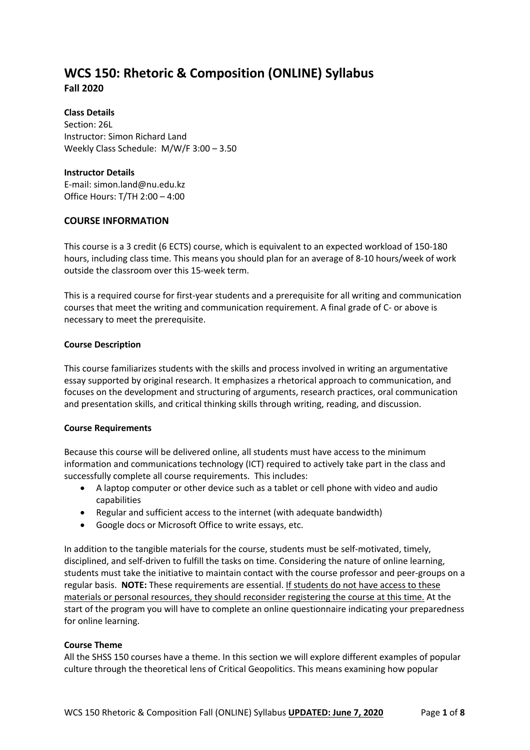# **WCS 150: Rhetoric & Composition (ONLINE) Syllabus Fall 2020**

**Class Details** Section: 26L Instructor: Simon Richard Land Weekly Class Schedule: M/W/F 3:00 – 3.50

## **Instructor Details**

E-mail: simon.land@nu.edu.kz Office Hours: T/TH 2:00 – 4:00

## **COURSE INFORMATION**

This course is a 3 credit (6 ECTS) course, which is equivalent to an expected workload of 150-180 hours, including class time. This means you should plan for an average of 8-10 hours/week of work outside the classroom over this 15-week term.

This is a required course for first-year students and a prerequisite for all writing and communication courses that meet the writing and communication requirement. A final grade of C- or above is necessary to meet the prerequisite.

## **Course Description**

This course familiarizes students with the skills and process involved in writing an argumentative essay supported by original research. It emphasizes a rhetorical approach to communication, and focuses on the development and structuring of arguments, research practices, oral communication and presentation skills, and critical thinking skills through writing, reading, and discussion.

## **Course Requirements**

Because this course will be delivered online, all students must have access to the minimum information and communications technology (ICT) required to actively take part in the class and successfully complete all course requirements. This includes:

- A laptop computer or other device such as a tablet or cell phone with video and audio capabilities
- Regular and sufficient access to the internet (with adequate bandwidth)
- Google docs or Microsoft Office to write essays, etc.

In addition to the tangible materials for the course, students must be self-motivated, timely, disciplined, and self-driven to fulfill the tasks on time. Considering the nature of online learning, students must take the initiative to maintain contact with the course professor and peer-groups on a regular basis. **NOTE:** These requirements are essential. If students do not have access to these materials or personal resources, they should reconsider registering the course at this time. At the start of the program you will have to complete an online questionnaire indicating your preparedness for online learning.

## **Course Theme**

All the SHSS 150 courses have a theme. In this section we will explore different examples of popular culture through the theoretical lens of Critical Geopolitics. This means examining how popular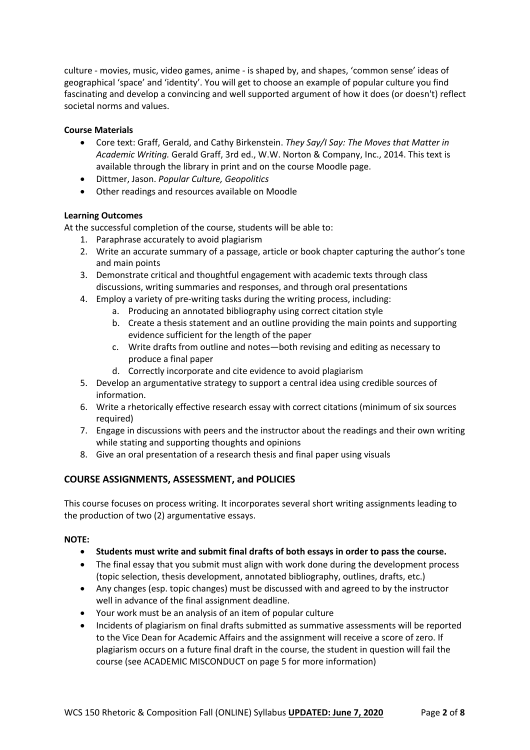culture - movies, music, video games, anime - is shaped by, and shapes, 'common sense' ideas of geographical 'space' and 'identity'. You will get to choose an example of popular culture you find fascinating and develop a convincing and well supported argument of how it does (or doesn't) reflect societal norms and values.

## **Course Materials**

- Core text: Graff, Gerald, and Cathy Birkenstein. *They Say/I Say: The Moves that Matter in Academic Writing.* Gerald Graff, 3rd ed., W.W. Norton & Company, Inc., 2014. This text is available through the library in print and on the course Moodle page.
- Dittmer, Jason. *Popular Culture, Geopolitics*
- Other readings and resources available on Moodle

## **Learning Outcomes**

At the successful completion of the course, students will be able to:

- 1. Paraphrase accurately to avoid plagiarism
- 2. Write an accurate summary of a passage, article or book chapter capturing the author's tone and main points
- 3. Demonstrate critical and thoughtful engagement with academic texts through class discussions, writing summaries and responses, and through oral presentations
- 4. Employ a variety of pre-writing tasks during the writing process, including:
	- a. Producing an annotated bibliography using correct citation style
	- b. Create a thesis statement and an outline providing the main points and supporting evidence sufficient for the length of the paper
	- c. Write drafts from outline and notes—both revising and editing as necessary to produce a final paper
	- d. Correctly incorporate and cite evidence to avoid plagiarism
- 5. Develop an argumentative strategy to support a central idea using credible sources of information.
- 6. Write a rhetorically effective research essay with correct citations (minimum of six sources required)
- 7. Engage in discussions with peers and the instructor about the readings and their own writing while stating and supporting thoughts and opinions
- 8. Give an oral presentation of a research thesis and final paper using visuals

## **COURSE ASSIGNMENTS, ASSESSMENT, and POLICIES**

This course focuses on process writing. It incorporates several short writing assignments leading to the production of two (2) argumentative essays.

## **NOTE:**

- **Students must write and submit final drafts of both essays in order to pass the course.**
- The final essay that you submit must align with work done during the development process (topic selection, thesis development, annotated bibliography, outlines, drafts, etc.)
- Any changes (esp. topic changes) must be discussed with and agreed to by the instructor well in advance of the final assignment deadline.
- Your work must be an analysis of an item of popular culture
- Incidents of plagiarism on final drafts submitted as summative assessments will be reported to the Vice Dean for Academic Affairs and the assignment will receive a score of zero. If plagiarism occurs on a future final draft in the course, the student in question will fail the course (see ACADEMIC MISCONDUCT on page 5 for more information)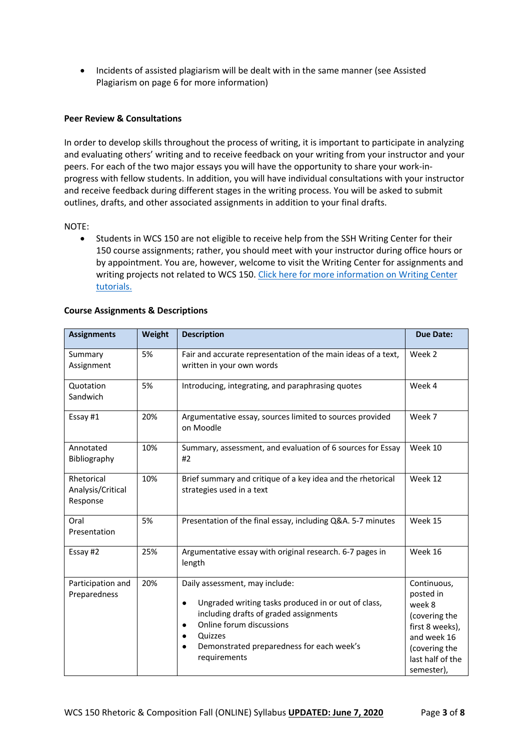• Incidents of assisted plagiarism will be dealt with in the same manner (see Assisted Plagiarism on page 6 for more information)

#### **Peer Review & Consultations**

In order to develop skills throughout the process of writing, it is important to participate in analyzing and evaluating others' writing and to receive feedback on your writing from your instructor and your peers. For each of the two major essays you will have the opportunity to share your work-inprogress with fellow students. In addition, you will have individual consultations with your instructor and receive feedback during different stages in the writing process. You will be asked to submit outlines, drafts, and other associated assignments in addition to your final drafts.

#### NOTE:

• Students in WCS 150 are not eligible to receive help from the SSH Writing Center for their 150 course assignments; rather, you should meet with your instructor during office hours or by appointment. You are, however, welcome to visit the Writing Center for assignments and writing projects not related to WCS 150. Click here for more information on Writing Center tutorials.

| <b>Assignments</b>                          | Weight | <b>Description</b>                                                                                                                                                                                                                                                                      | <b>Due Date:</b>                                                                                                                         |
|---------------------------------------------|--------|-----------------------------------------------------------------------------------------------------------------------------------------------------------------------------------------------------------------------------------------------------------------------------------------|------------------------------------------------------------------------------------------------------------------------------------------|
| Summary<br>Assignment                       | 5%     | Fair and accurate representation of the main ideas of a text,<br>written in your own words                                                                                                                                                                                              | Week 2                                                                                                                                   |
| Quotation<br>Sandwich                       | 5%     | Introducing, integrating, and paraphrasing quotes                                                                                                                                                                                                                                       | Week 4                                                                                                                                   |
| Essay #1                                    | 20%    | Argumentative essay, sources limited to sources provided<br>on Moodle                                                                                                                                                                                                                   | Week 7                                                                                                                                   |
| Annotated<br>Bibliography                   | 10%    | Summary, assessment, and evaluation of 6 sources for Essay<br>#2                                                                                                                                                                                                                        | Week 10                                                                                                                                  |
| Rhetorical<br>Analysis/Critical<br>Response | 10%    | Brief summary and critique of a key idea and the rhetorical<br>strategies used in a text                                                                                                                                                                                                | Week 12                                                                                                                                  |
| Oral<br>Presentation                        | 5%     | Presentation of the final essay, including Q&A. 5-7 minutes                                                                                                                                                                                                                             | Week 15                                                                                                                                  |
| Essay #2                                    | 25%    | Argumentative essay with original research. 6-7 pages in<br>length                                                                                                                                                                                                                      | Week 16                                                                                                                                  |
| Participation and<br>Preparedness           | 20%    | Daily assessment, may include:<br>Ungraded writing tasks produced in or out of class,<br>$\bullet$<br>including drafts of graded assignments<br>Online forum discussions<br>$\bullet$<br>Quizzes<br>$\bullet$<br>Demonstrated preparedness for each week's<br>$\bullet$<br>requirements | Continuous,<br>posted in<br>week 8<br>(covering the<br>first 8 weeks),<br>and week 16<br>(covering the<br>last half of the<br>semester), |

#### **Course Assignments & Descriptions**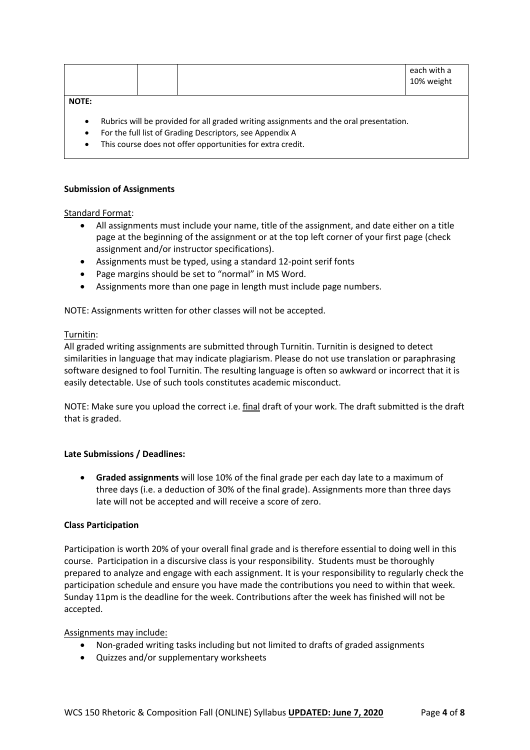|              |  | each with a<br>10% weight |
|--------------|--|---------------------------|
| <b>NOTE:</b> |  |                           |

- Rubrics will be provided for all graded writing assignments and the oral presentation.
- For the full list of Grading Descriptors, see Appendix A
- This course does not offer opportunities for extra credit.

#### **Submission of Assignments**

#### Standard Format:

- All assignments must include your name, title of the assignment, and date either on a title page at the beginning of the assignment or at the top left corner of your first page (check assignment and/or instructor specifications).
- Assignments must be typed, using a standard 12-point serif fonts
- Page margins should be set to "normal" in MS Word.
- Assignments more than one page in length must include page numbers.

NOTE: Assignments written for other classes will not be accepted.

## Turnitin:

All graded writing assignments are submitted through Turnitin. Turnitin is designed to detect similarities in language that may indicate plagiarism. Please do not use translation or paraphrasing software designed to fool Turnitin. The resulting language is often so awkward or incorrect that it is easily detectable. Use of such tools constitutes academic misconduct.

NOTE: Make sure you upload the correct i.e. final draft of your work. The draft submitted is the draft that is graded.

## **Late Submissions / Deadlines:**

• **Graded assignments** will lose 10% of the final grade per each day late to a maximum of three days (i.e. a deduction of 30% of the final grade). Assignments more than three days late will not be accepted and will receive a score of zero.

## **Class Participation**

Participation is worth 20% of your overall final grade and is therefore essential to doing well in this course. Participation in a discursive class is your responsibility. Students must be thoroughly prepared to analyze and engage with each assignment. It is your responsibility to regularly check the participation schedule and ensure you have made the contributions you need to within that week. Sunday 11pm is the deadline for the week. Contributions after the week has finished will not be accepted.

## Assignments may include:

- Non-graded writing tasks including but not limited to drafts of graded assignments
- Quizzes and/or supplementary worksheets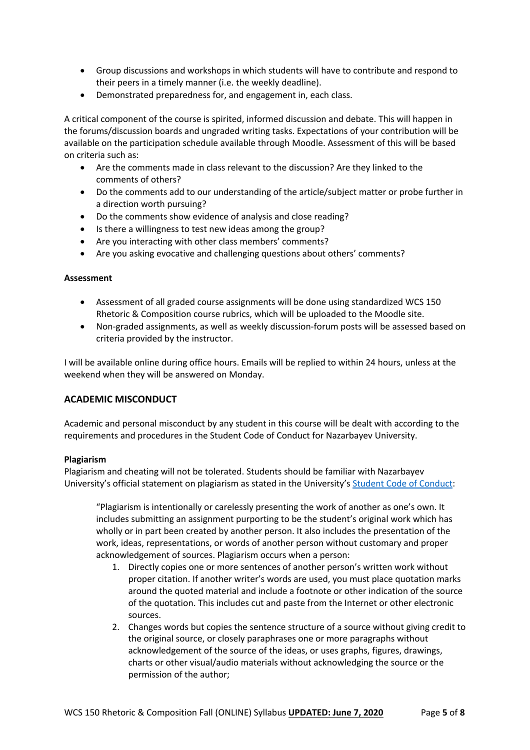- Group discussions and workshops in which students will have to contribute and respond to their peers in a timely manner (i.e. the weekly deadline).
- Demonstrated preparedness for, and engagement in, each class.

A critical component of the course is spirited, informed discussion and debate. This will happen in the forums/discussion boards and ungraded writing tasks. Expectations of your contribution will be available on the participation schedule available through Moodle. Assessment of this will be based on criteria such as:

- Are the comments made in class relevant to the discussion? Are they linked to the comments of others?
- Do the comments add to our understanding of the article/subject matter or probe further in a direction worth pursuing?
- Do the comments show evidence of analysis and close reading?
- Is there a willingness to test new ideas among the group?
- Are you interacting with other class members' comments?
- Are you asking evocative and challenging questions about others' comments?

## **Assessment**

- Assessment of all graded course assignments will be done using standardized WCS 150 Rhetoric & Composition course rubrics, which will be uploaded to the Moodle site.
- Non-graded assignments, as well as weekly discussion-forum posts will be assessed based on criteria provided by the instructor.

I will be available online during office hours. Emails will be replied to within 24 hours, unless at the weekend when they will be answered on Monday.

## **ACADEMIC MISCONDUCT**

Academic and personal misconduct by any student in this course will be dealt with according to the requirements and procedures in the Student Code of Conduct for Nazarbayev University.

## **Plagiarism**

Plagiarism and cheating will not be tolerated. Students should be familiar with Nazarbayev University's official statement on plagiarism as stated in the University's Student Code of Conduct:

"Plagiarism is intentionally or carelessly presenting the work of another as one's own. It includes submitting an assignment purporting to be the student's original work which has wholly or in part been created by another person. It also includes the presentation of the work, ideas, representations, or words of another person without customary and proper acknowledgement of sources. Plagiarism occurs when a person:

- 1. Directly copies one or more sentences of another person's written work without proper citation. If another writer's words are used, you must place quotation marks around the quoted material and include a footnote or other indication of the source of the quotation. This includes cut and paste from the Internet or other electronic sources.
- 2. Changes words but copies the sentence structure of a source without giving credit to the original source, or closely paraphrases one or more paragraphs without acknowledgement of the source of the ideas, or uses graphs, figures, drawings, charts or other visual/audio materials without acknowledging the source or the permission of the author;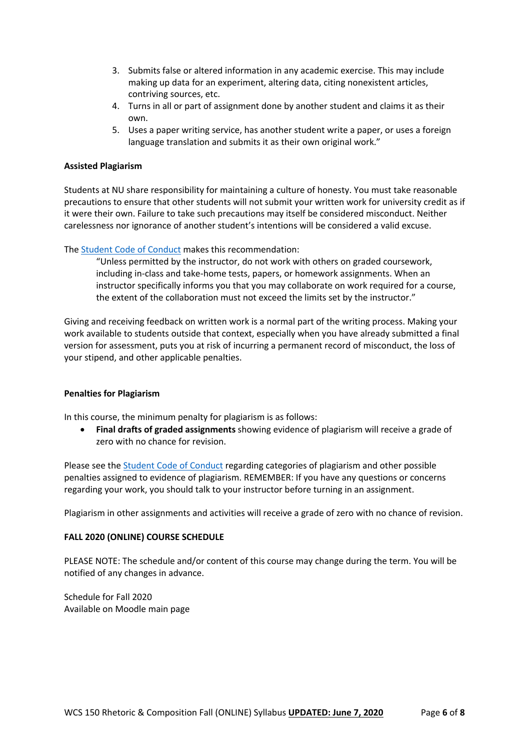- 3. Submits false or altered information in any academic exercise. This may include making up data for an experiment, altering data, citing nonexistent articles, contriving sources, etc.
- 4. Turns in all or part of assignment done by another student and claims it as their own.
- 5. Uses a paper writing service, has another student write a paper, or uses a foreign language translation and submits it as their own original work."

## **Assisted Plagiarism**

Students at NU share responsibility for maintaining a culture of honesty. You must take reasonable precautions to ensure that other students will not submit your written work for university credit as if it were their own. Failure to take such precautions may itself be considered misconduct. Neither carelessness nor ignorance of another student's intentions will be considered a valid excuse.

The Student Code of Conduct makes this recommendation:

"Unless permitted by the instructor, do not work with others on graded coursework, including in-class and take-home tests, papers, or homework assignments. When an instructor specifically informs you that you may collaborate on work required for a course, the extent of the collaboration must not exceed the limits set by the instructor."

Giving and receiving feedback on written work is a normal part of the writing process. Making your work available to students outside that context, especially when you have already submitted a final version for assessment, puts you at risk of incurring a permanent record of misconduct, the loss of your stipend, and other applicable penalties.

## **Penalties for Plagiarism**

In this course, the minimum penalty for plagiarism is as follows:

• **Final drafts of graded assignments** showing evidence of plagiarism will receive a grade of zero with no chance for revision.

Please see the Student Code of Conduct regarding categories of plagiarism and other possible penalties assigned to evidence of plagiarism. REMEMBER: If you have any questions or concerns regarding your work, you should talk to your instructor before turning in an assignment.

Plagiarism in other assignments and activities will receive a grade of zero with no chance of revision.

## **FALL 2020 (ONLINE) COURSE SCHEDULE**

PLEASE NOTE: The schedule and/or content of this course may change during the term. You will be notified of any changes in advance.

Schedule for Fall 2020 Available on Moodle main page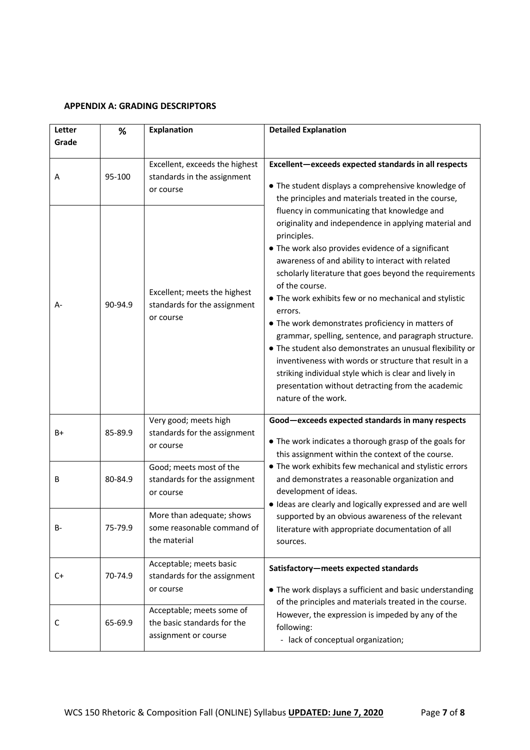## **APPENDIX A: GRADING DESCRIPTORS**

| Letter | %       | <b>Explanation</b>                                                                                                                                                                                                                               | <b>Detailed Explanation</b>                                                                                                                                                                                                                                                                                                                                                                                                                                                                                                                                                                                                                                                                                                                                |  |
|--------|---------|--------------------------------------------------------------------------------------------------------------------------------------------------------------------------------------------------------------------------------------------------|------------------------------------------------------------------------------------------------------------------------------------------------------------------------------------------------------------------------------------------------------------------------------------------------------------------------------------------------------------------------------------------------------------------------------------------------------------------------------------------------------------------------------------------------------------------------------------------------------------------------------------------------------------------------------------------------------------------------------------------------------------|--|
| Grade  |         |                                                                                                                                                                                                                                                  |                                                                                                                                                                                                                                                                                                                                                                                                                                                                                                                                                                                                                                                                                                                                                            |  |
| Α      | 95-100  | Excellent, exceeds the highest<br>Excellent-exceeds expected standards in all respects<br>standards in the assignment<br>• The student displays a comprehensive knowledge of<br>or course<br>the principles and materials treated in the course, |                                                                                                                                                                                                                                                                                                                                                                                                                                                                                                                                                                                                                                                                                                                                                            |  |
| А-     | 90-94.9 | Excellent; meets the highest<br>standards for the assignment<br>or course                                                                                                                                                                        | fluency in communicating that knowledge and<br>originality and independence in applying material and<br>principles.<br>• The work also provides evidence of a significant<br>awareness of and ability to interact with related<br>scholarly literature that goes beyond the requirements<br>of the course.<br>• The work exhibits few or no mechanical and stylistic<br>errors.<br>• The work demonstrates proficiency in matters of<br>grammar, spelling, sentence, and paragraph structure.<br>• The student also demonstrates an unusual flexibility or<br>inventiveness with words or structure that result in a<br>striking individual style which is clear and lively in<br>presentation without detracting from the academic<br>nature of the work. |  |
| B+     | 85-89.9 | Very good; meets high<br>standards for the assignment<br>or course                                                                                                                                                                               | Good-exceeds expected standards in many respects<br>• The work indicates a thorough grasp of the goals for<br>this assignment within the context of the course.                                                                                                                                                                                                                                                                                                                                                                                                                                                                                                                                                                                            |  |
| В      | 80-84.9 | Good; meets most of the<br>standards for the assignment<br>or course                                                                                                                                                                             | • The work exhibits few mechanical and stylistic errors<br>and demonstrates a reasonable organization and<br>development of ideas.<br>· Ideas are clearly and logically expressed and are well<br>supported by an obvious awareness of the relevant<br>literature with appropriate documentation of all<br>sources.                                                                                                                                                                                                                                                                                                                                                                                                                                        |  |
| B-     | 75-79.9 | More than adequate; shows<br>some reasonable command of<br>the material                                                                                                                                                                          |                                                                                                                                                                                                                                                                                                                                                                                                                                                                                                                                                                                                                                                                                                                                                            |  |
| C+     | 70-74.9 | Acceptable; meets basic<br>standards for the assignment<br>or course                                                                                                                                                                             | Satisfactory-meets expected standards<br>• The work displays a sufficient and basic understanding<br>of the principles and materials treated in the course.                                                                                                                                                                                                                                                                                                                                                                                                                                                                                                                                                                                                |  |
| C      | 65-69.9 | Acceptable; meets some of<br>the basic standards for the<br>assignment or course                                                                                                                                                                 | However, the expression is impeded by any of the<br>following:<br>- lack of conceptual organization;                                                                                                                                                                                                                                                                                                                                                                                                                                                                                                                                                                                                                                                       |  |